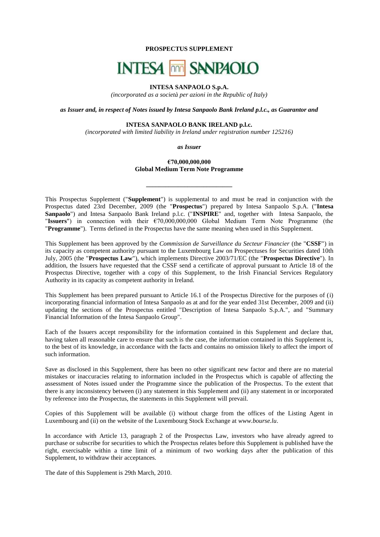**PROSPECTUS SUPPLEMENT**

# **INTESA MM SANPAOLO**

# **INTESA SANPAOLO S.p.A.**

*(incorporated as a società per azioni in the Republic of Italy)*

*as Issuer and, in respect of Notes issued by Intesa Sanpaolo Bank Ireland p.l.c., as Guarantor and*

# **INTESA SANPAOLO BANK IRELAND p.l.c.**

*(incorporated with limited liability in Ireland under registration number 125216)*

*as Issuer*

# **€70,000,000,000 Global Medium Term Note Programme**

**\_\_\_\_\_\_\_\_\_\_\_\_\_\_\_\_\_\_\_\_\_\_\_\_\_\_\_**

This Prospectus Supplement ("**Supplement**") is supplemental to and must be read in conjunction with the Prospectus dated 23rd December, 2009 (the "**Prospectus**") prepared by Intesa Sanpaolo S.p.A. ("**Intesa Sanpaolo**") and Intesa Sanpaolo Bank Ireland p.l.c. ("**INSPIRE**" and, together with Intesa Sanpaolo, the "**Issuers**") in connection with their €70,000,000,000 Global Medium Term Note Programme (the "**Programme**"). Terms defined in the Prospectus have the same meaning when used in this Supplement.

This Supplement has been approved by the *Commission de Surveillance du Secteur Financier* (the "**CSSF**") in its capacity as competent authority pursuant to the Luxembourg Law on Prospectuses for Securities dated 10th July, 2005 (the "**Prospectus Law**"), which implements Directive 2003/71/EC (the "**Prospectus Directive**"). In addition, the Issuers have requested that the CSSF send a certificate of approval pursuant to Article 18 of the Prospectus Directive, together with a copy of this Supplement, to the Irish Financial Services Regulatory Authority in its capacity as competent authority in Ireland.

This Supplement has been prepared pursuant to Article 16.1 of the Prospectus Directive for the purposes of (i) incorporating financial information of Intesa Sanpaolo as at and for the year ended 31st December, 2009 and (ii) updating the sections of the Prospectus entitled "Description of Intesa Sanpaolo S.p.A.", and "Summary Financial Information of the Intesa Sanpaolo Group".

Each of the Issuers accept responsibility for the information contained in this Supplement and declare that, having taken all reasonable care to ensure that such is the case, the information contained in this Supplement is, to the best of its knowledge, in accordance with the facts and contains no omission likely to affect the import of such information.

Save as disclosed in this Supplement, there has been no other significant new factor and there are no material mistakes or inaccuracies relating to information included in the Prospectus which is capable of affecting the assessment of Notes issued under the Programme since the publication of the Prospectus. To the extent that there is any inconsistency between (i) any statement in this Supplement and (ii) any statement in or incorporated by reference into the Prospectus, the statements in this Supplement will prevail.

Copies of this Supplement will be available (i) without charge from the offices of the Listing Agent in Luxembourg and (ii) on the website of the Luxembourg Stock Exchange at *[www.bourse.lu](http://www.bourse.lu/)*.

In accordance with Article 13, paragraph 2 of the Prospectus Law, investors who have already agreed to purchase or subscribe for securities to which the Prospectus relates before this Supplement is published have the right, exercisable within a time limit of a minimum of two working days after the publication of this Supplement, to withdraw their acceptances.

The date of this Supplement is 29th March, 2010.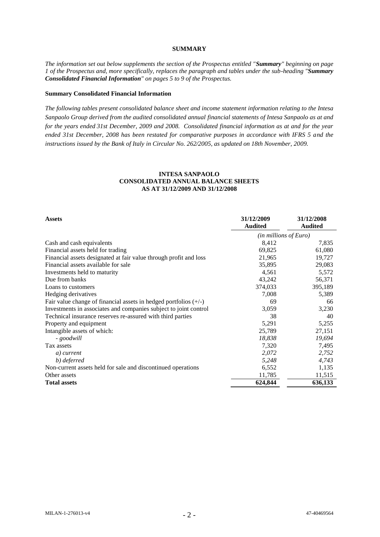# **SUMMARY**

*The information set out below supplements the section of the Prospectus entitled "Summary" beginning on page 1 of the Prospectus and, more specifically, replaces the paragraph and tables under the sub-heading "Summary Consolidated Financial Information" on pages 5 to 9 of the Prospectus.*

#### **Summary Consolidated Financial Information**

*The following tables present consolidated balance sheet and income statement information relating to the Intesa Sanpaolo Group derived from the audited consolidated annual financial statements of Intesa Sanpaolo as at and for the years ended 31st December, 2009 and 2008. Consolidated financial information as at and for the year ended 31st December, 2008 has been restated for comparative purposes in accordance with IFRS 5 and the instructions issued by the Bank of Italy in Circular No. 262/2005, as updated on 18th November, 2009.* 

| <b>Assets</b>                                                      | 31/12/2009<br><b>Audited</b> | 31/12/2008<br><b>Audited</b> |
|--------------------------------------------------------------------|------------------------------|------------------------------|
|                                                                    | (in millions of Euro)        |                              |
| Cash and cash equivalents                                          | 8,412                        | 7,835                        |
| Financial assets held for trading                                  | 69,825                       | 61,080                       |
| Financial assets designated at fair value through profit and loss  | 21,965                       | 19,727                       |
| Financial assets available for sale                                | 35,895                       | 29,083                       |
| Investments held to maturity                                       | 4,561                        | 5,572                        |
| Due from banks                                                     | 43,242                       | 56,371                       |
| Loans to customers                                                 | 374,033                      | 395,189                      |
| Hedging derivatives                                                | 7,008                        | 5,389                        |
| Fair value change of financial assets in hedged portfolios $(+/-)$ | 69                           | 66                           |
| Investments in associates and companies subject to joint control   | 3,059                        | 3,230                        |
| Technical insurance reserves re-assured with third parties         | 38                           | 40                           |
| Property and equipment                                             | 5,291                        | 5,255                        |
| Intangible assets of which:                                        | 25,789                       | 27,151                       |
| - goodwill                                                         | 18,838                       | 19,694                       |
| Tax assets                                                         | 7,320                        | 7,495                        |
| a) current                                                         | 2,072                        | 2,752                        |
| b) deferred                                                        | 5,248                        | 4,743                        |
| Non-current assets held for sale and discontinued operations       | 6,552                        | 1,135                        |
| Other assets                                                       | 11,785                       | 11,515                       |
| <b>Total assets</b>                                                | 624,844                      | 636,133                      |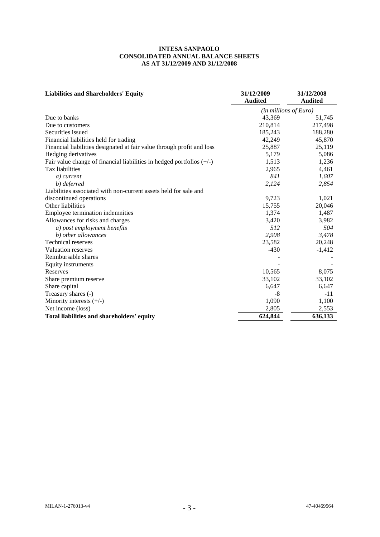| <b>Liabilities and Shareholders' Equity</b>                             | 31/12/2009<br><b>Audited</b> | 31/12/2008<br><b>Audited</b> |
|-------------------------------------------------------------------------|------------------------------|------------------------------|
|                                                                         |                              |                              |
|                                                                         | (in millions of Euro)        |                              |
| Due to banks                                                            | 43,369                       | 51,745                       |
| Due to customers                                                        | 210,814                      | 217,498                      |
| Securities issued                                                       | 185,243                      | 188,280                      |
| Financial liabilities held for trading                                  | 42,249                       | 45,870                       |
| Financial liabilities designated at fair value through profit and loss  | 25,887                       | 25,119                       |
| Hedging derivatives                                                     | 5,179                        | 5,086                        |
| Fair value change of financial liabilities in hedged portfolios $(+/-)$ | 1,513                        | 1,236                        |
| Tax liabilities                                                         | 2,965                        | 4,461                        |
| a) current                                                              | 841                          | 1,607                        |
| b) deferred                                                             | 2,124                        | 2,854                        |
| Liabilities associated with non-current assets held for sale and        |                              |                              |
| discontinued operations                                                 | 9,723                        | 1,021                        |
| Other liabilities                                                       | 15,755                       | 20,046                       |
| Employee termination indemnities                                        | 1,374                        | 1,487                        |
| Allowances for risks and charges                                        | 3,420                        | 3,982                        |
| a) post employment benefits                                             | 512                          | 504                          |
| b) other allowances                                                     | 2,908                        | 3,478                        |
| <b>Technical reserves</b>                                               | 23,582                       | 20,248                       |
| Valuation reserves                                                      | $-430$                       | $-1,412$                     |
| Reimbursable shares                                                     |                              |                              |
| Equity instruments                                                      |                              |                              |
| Reserves                                                                | 10,565                       | 8,075                        |
| Share premium reserve                                                   | 33,102                       | 33,102                       |
| Share capital                                                           | 6,647                        | 6,647                        |
| Treasury shares (-)                                                     | -8                           | $-11$                        |
| Minority interests $(+/-)$                                              | 1,090                        | 1,100                        |
| Net income (loss)                                                       | 2,805                        | 2,553                        |
| Total liabilities and shareholders' equity                              | 624,844                      | 636,133                      |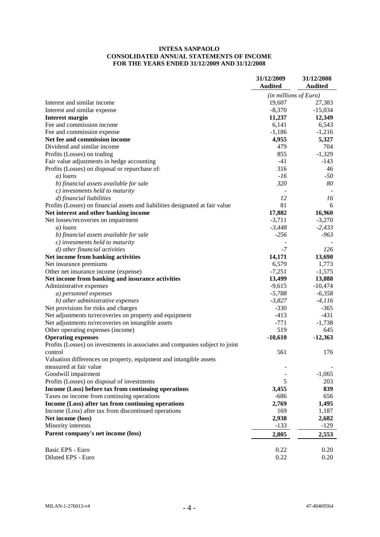# **INTESA SANPAOLO CONSOLIDATED ANNUAL STATEMENTS OF INCOME FOR THE YEARS ENDED 31/12/2009 AND 31/12/2008**

|                                                                               | 31/12/2009<br><b>Audited</b> | 31/12/2008<br><b>Audited</b> |
|-------------------------------------------------------------------------------|------------------------------|------------------------------|
|                                                                               | $(in$ millions of Euro)      |                              |
| Interest and similar income                                                   | 19,607                       | 27,383                       |
| Interest and similar expense                                                  | $-8,370$                     | $-15,034$                    |
| <b>Interest margin</b>                                                        | 11,237                       | 12,349                       |
| Fee and commission income                                                     | 6,141                        | 6,543                        |
| Fee and commission expense                                                    | $-1,186$                     | $-1,216$                     |
| Net fee and commission income                                                 | 4,955                        | 5,327                        |
| Dividend and similar income                                                   | 479                          | 704                          |
| Profits (Losses) on trading                                                   | 855                          | $-1,329$                     |
| Fair value adjustments in hedge accounting                                    | $-41$                        | $-143$                       |
| Profits (Losses) on disposal or repurchase of:                                | 316                          | 46                           |
| a) loans                                                                      | $-16$                        | $-50$                        |
| b) financial assets available for sale                                        | 320                          | 80                           |
| c) investments held to maturity                                               |                              |                              |
| d) financial liabilities                                                      | 12                           | 16                           |
| Profits (Losses) on financial assets and liabilities designated at fair value | 81                           | 6                            |
| Net interest and other banking income                                         | 17,882                       | 16,960                       |
| Net losses/recoveries on impairment                                           | $-3,711$                     | $-3,270$                     |
| a) loans                                                                      | $-3,448$                     | $-2,433$                     |
| b) financial assets available for sale                                        | $-256$                       | $-963$                       |
| $c)$ investments held to maturity                                             |                              |                              |
| d) other financial activities                                                 | -7                           | 126                          |
| Net income from banking activities                                            | 14,171                       | 13,690                       |
| Net insurance premiums                                                        | 6,579                        | 1,773                        |
| Other net insurance income (expense)                                          | $-7,251$                     | $-1,575$                     |
| Net income from banking and insurance activities                              | 13,499                       | 13,888                       |
| Administrative expenses                                                       | $-9,615$                     | $-10,474$                    |
| a) personnel expenses                                                         | $-5,788$                     | $-6,358$                     |
| b) other administrative expenses                                              | $-3,827$                     | $-4,116$                     |
| Net provisions for risks and charges                                          | $-330$                       | $-365$                       |
| Net adjustments to/recoveries on property and equipment                       | $-413$                       | $-431$                       |
| Net adjustments to/recoveries on intangible assets                            | $-771$                       | $-1,738$                     |
| Other operating expenses (income)                                             | 519                          | 645                          |
| <b>Operating expenses</b>                                                     | $-10,610$                    | $-12,363$                    |
| Profits (Losses) on investments in associates and companies subject to joint  |                              |                              |
| control                                                                       | 561                          | 176                          |
| Valuation differences on property, equipment and intangible assets            |                              |                              |
| measured at fair value                                                        |                              |                              |
| Goodwill impairment                                                           |                              | $-1,065$                     |
| Profits (Losses) on disposal of investments                                   | 5                            | 203                          |
| Income (Loss) before tax from continuing operations                           | 3,455                        | 839                          |
| Taxes on income from continuing operations                                    | $-686$                       | 656                          |
| Income (Loss) after tax from continuing operations                            | 2,769                        | 1,495                        |
| Income (Loss) after tax from discontinued operations                          | 169                          | 1,187                        |
| Net income (loss)                                                             | 2,938                        | 2,682                        |
| Minority interests                                                            | $-133$                       | $-129$                       |
| Parent company's net income (loss)                                            | 2,805                        | 2,553                        |
|                                                                               |                              |                              |
| Basic EPS - Euro                                                              | 0.22                         | 0.20                         |
| Diluted EPS - Euro                                                            | 0.22                         | 0.20                         |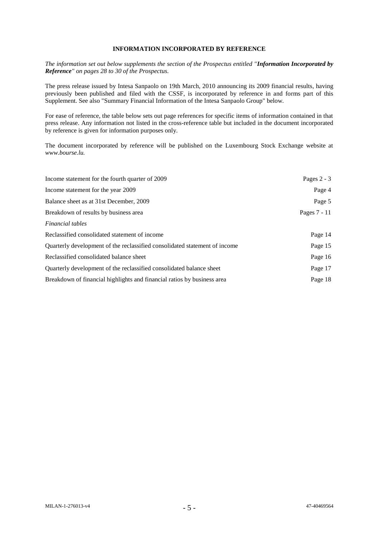# **INFORMATION INCORPORATED BY REFERENCE**

*The information set out below supplements the section of the Prospectus entitled "Information Incorporated by Reference" on pages 28 to 30 of the Prospectus.*

The press release issued by Intesa Sanpaolo on 19th March, 2010 announcing its 2009 financial results, having previously been published and filed with the CSSF, is incorporated by reference in and forms part of this Supplement. See also "Summary Financial Information of the Intesa Sanpaolo Group" below.

For ease of reference, the table below sets out page references for specific items of information contained in that press release. Any information not listed in the cross-reference table but included in the document incorporated by reference is given for information purposes only.

The document incorporated by reference will be published on the Luxembourg Stock Exchange website at *www.bourse.lu.*

| Income statement for the fourth quarter of 2009                            | Pages $2 - 3$ |
|----------------------------------------------------------------------------|---------------|
| Income statement for the year 2009                                         | Page 4        |
| Balance sheet as at 31st December, 2009                                    | Page 5        |
| Breakdown of results by business area                                      | Pages 7 - 11  |
| <i>Financial tables</i>                                                    |               |
| Reclassified consolidated statement of income                              | Page 14       |
| Quarterly development of the reclassified consolidated statement of income | Page 15       |
| Reclassified consolidated balance sheet                                    | Page 16       |
| Quarterly development of the reclassified consolidated balance sheet       | Page 17       |
| Breakdown of financial highlights and financial ratios by business area    | Page 18       |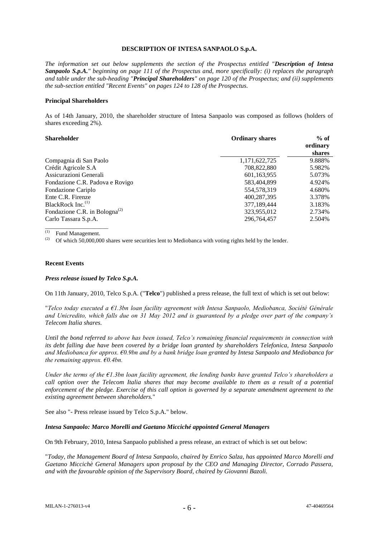## **DESCRIPTION OF INTESA SANPAOLO S.p.A.**

*The information set out below supplements the section of the Prospectus entitled "Description of Intesa Sanpaolo S.p.A." beginning on page 111 of the Prospectus and, more specifically: (i) replaces the paragraph and table under the sub-heading "Principal Shareholders" on page 120 of the Prospectus; and (ii) supplements the sub-section entitled "Recent Events" on pages 124 to 128 of the Prospectus.*

## **Principal Shareholders**

As of 14th January, 2010, the shareholder structure of Intesa Sanpaolo was composed as follows (holders of shares exceeding 2%).

| <b>Shareholder</b>                        | <b>Ordinary shares</b> | $%$ of   |
|-------------------------------------------|------------------------|----------|
|                                           |                        | ordinary |
|                                           |                        | shares   |
| Compagnia di San Paolo                    | 1,171,622,725          | 9.888%   |
| Crédit Agricole S.A                       | 708,822,880            | 5.982%   |
| Assicurazioni Generali                    | 601,163,955            | 5.073%   |
| Fondazione C.R. Padova e Rovigo           | 583,404,899            | 4.924%   |
| Fondazione Cariplo                        | 554,578,319            | 4.680%   |
| Ente C.R. Firenze                         | 400,287,395            | 3.378%   |
| BlackRock Inc. <sup>(1)</sup>             | 377,189,444            | 3.183%   |
| Fondazione C.R. in Bologna <sup>(2)</sup> | 323,955,012            | 2.734%   |
| Carlo Tassara S.p.A.                      | 296.764.457            | 2.504%   |

 $\frac{(1)}{(2)}$  Fund Management.

Of which 50,000,000 shares were securities lent to Mediobanca with voting rights held by the lender.

## **Recent Events**

#### *Press release issued by Telco S.p.A.*

On 11th January, 2010, Telco S.p.A. ("**Telco**") published a press release, the full text of which is set out below:

"*Telco today executed a €1.3bn loan facility agreement with Intesa Sanpaolo, Mediobanca, Société Générale and Unicredito, which falls due on 31 May 2012 and is guaranteed by a pledge over part of the company's Telecom Italia shares.*

*Until the bond referred to above has been issued, Telco's remaining financial requirements in connection with its debt falling due have been covered by a bridge loan granted by shareholders Telefonica, Intesa Sanpaolo and Mediobanca for approx. €0.9bn and by a bank bridge loan granted by Intesa Sanpaolo and Mediobanca for the remaining approx. €0.4bn.*

*Under the terms of the €1.3bn loan facility agreement, the lending banks have granted Telco's shareholders a call option over the Telecom Italia shares that may become available to them as a result of a potential enforcement of the pledge. Exercise of this call option is governed by a separate amendment agreement to the existing agreement between shareholders.*"

See also "- Press release issued by Telco S.p.A." below.

#### *Intesa Sanpaolo: Marco Morelli and Gaetano Micciché appointed General Managers*

On 9th February, 2010, Intesa Sanpaolo published a press release, an extract of which is set out below:

"*Today, the Management Board of Intesa Sanpaolo, chaired by Enrico Salza, has appointed Marco Morelli and Gaetano Miccichè General Managers upon proposal by the CEO and Managing Director, Corrado Passera, and with the favourable opinion of the Supervisory Board, chaired by Giovanni Bazoli.*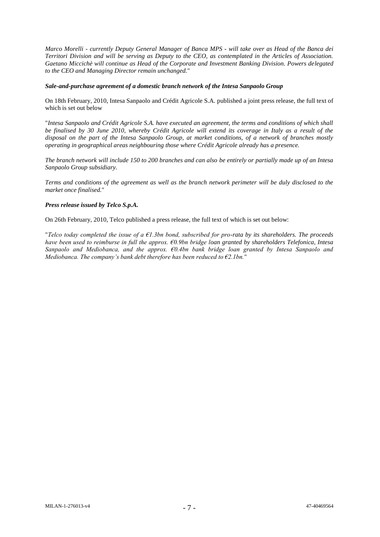*Marco Morelli - currently Deputy General Manager of Banca MPS - will take over as Head of the Banca dei Territori Division and will be serving as Deputy to the CEO, as contemplated in the Articles of Association. Gaetano Miccichè will continue as Head of the Corporate and Investment Banking Division. Powers delegated to the CEO and Managing Director remain unchanged.*"

## *Sale-and-purchase agreement of a domestic branch network of the Intesa Sanpaolo Group*

On 18th February, 2010, Intesa Sanpaolo and Crédit Agricole S.A. published a joint press release, the full text of which is set out below

"*Intesa Sanpaolo and Crédit Agricole S.A. have executed an agreement, the terms and conditions of which shall be finalised by 30 June 2010, whereby Crédit Agricole will extend its coverage in Italy as a result of the disposal on the part of the Intesa Sanpaolo Group, at market conditions, of a network of branches mostly operating in geographical areas neighbouring those where Crédit Agricole already has a presence.*

*The branch network will include 150 to 200 branches and can also be entirely or partially made up of an Intesa Sanpaolo Group subsidiary.*

*Terms and conditions of the agreement as well as the branch network perimeter will be duly disclosed to the market once finalised.*"

## *Press release issued by Telco S.p.A.*

On 26th February, 2010, Telco published a press release, the full text of which is set out below:

"*Telco today completed the issue of a €1.3bn bond, subscribed for pro-rata by its shareholders. The proceeds have been used to reimburse in full the approx. €0.9bn bridge loan granted by shareholders Telefonica, Intesa Sanpaolo and Mediobanca, and the approx. €0.4bn bank bridge loan granted by Intesa Sanpaolo and Mediobanca. The company's bank debt therefore has been reduced to €2.1bn.*"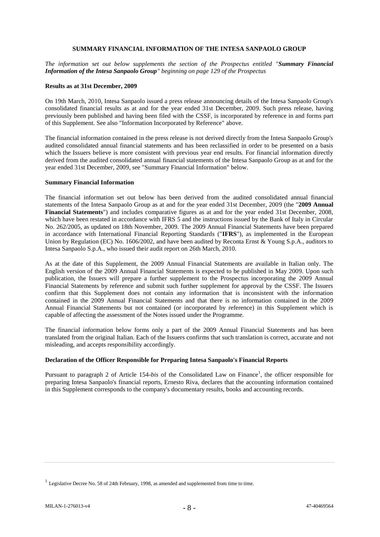## **SUMMARY FINANCIAL INFORMATION OF THE INTESA SANPAOLO GROUP**

*The information set out below supplements the section of the Prospectus entitled "Summary Financial Information of the Intesa Sanpaolo Group" beginning on page 129 of the Prospectus* 

#### **Results as at 31st December, 2009**

On 19th March, 2010, Intesa Sanpaolo issued a press release announcing details of the Intesa Sanpaolo Group's consolidated financial results as at and for the year ended 31st December, 2009. Such press release, having previously been published and having been filed with the CSSF, is incorporated by reference in and forms part of this Supplement. See also "Information Incorporated by Reference" above.

The financial information contained in the press release is not derived directly from the Intesa Sanpaolo Group's audited consolidated annual financial statements and has been reclassified in order to be presented on a basis which the Issuers believe is more consistent with previous year end results. For financial information directly derived from the audited consolidated annual financial statements of the Intesa Sanpaolo Group as at and for the year ended 31st December, 2009, see "Summary Financial Information" below.

#### **Summary Financial Information**

The financial information set out below has been derived from the audited consolidated annual financial statements of the Intesa Sanpaolo Group as at and for the year ended 31st December, 2009 (the "**2009 Annual Financial Statements**") and includes comparative figures as at and for the year ended 31st December, 2008, which have been restated in accordance with IFRS 5 and the instructions issued by the Bank of Italy in Circular No. 262/2005, as updated on 18th November, 2009. The 2009 Annual Financial Statements have been prepared in accordance with International Financial Reporting Standards ("**IFRS**"), as implemented in the European Union by Regulation (EC) No. 1606/2002, and have been audited by Reconta Ernst & Young S.p.A., auditors to Intesa Sanpaolo S.p.A., who issued their audit report on 26th March, 2010.

As at the date of this Supplement, the 2009 Annual Financial Statements are available in Italian only. The English version of the 2009 Annual Financial Statements is expected to be published in May 2009. Upon such publication, the Issuers will prepare a further supplement to the Prospectus incorporating the 2009 Annual Financial Statements by reference and submit such further supplement for approval by the CSSF. The Issuers confirm that this Supplement does not contain any information that is inconsistent with the information contained in the 2009 Annual Financial Statements and that there is no information contained in the 2009 Annual Financial Statements but not contained (or incorporated by reference) in this Supplement which is capable of affecting the assessment of the Notes issued under the Programme.

The financial information below forms only a part of the 2009 Annual Financial Statements and has been translated from the original Italian. Each of the Issuers confirms that such translation is correct, accurate and not misleading, and accepts responsibility accordingly.

# **Declaration of the Officer Responsible for Preparing Intesa Sanpaolo's Financial Reports**

Pursuant to paragraph 2 of Article 154-bis of the Consolidated Law on Finance<sup>1</sup>, the officer responsible for preparing Intesa Sanpaolo's financial reports, Ernesto Riva, declares that the accounting information contained in this Supplement corresponds to the company's documentary results, books and accounting records.

<sup>&</sup>lt;sup>1</sup> Legislative Decree No. 58 of 24th February, 1998, as amended and supplemented from time to time.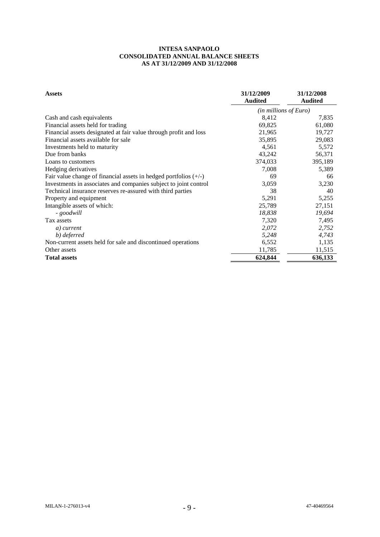| <b>Assets</b>                                                      | 31/12/2009<br><b>Audited</b> | 31/12/2008<br><b>Audited</b> |
|--------------------------------------------------------------------|------------------------------|------------------------------|
|                                                                    | $(in$ millions of Euro)      |                              |
| Cash and cash equivalents                                          | 8,412                        | 7,835                        |
| Financial assets held for trading                                  | 69,825                       | 61,080                       |
| Financial assets designated at fair value through profit and loss  | 21,965                       | 19,727                       |
| Financial assets available for sale                                | 35,895                       | 29,083                       |
| Investments held to maturity                                       | 4,561                        | 5,572                        |
| Due from banks                                                     | 43,242                       | 56,371                       |
| Loans to customers                                                 | 374,033                      | 395,189                      |
| Hedging derivatives                                                | 7,008                        | 5,389                        |
| Fair value change of financial assets in hedged portfolios $(+/-)$ | 69                           | 66                           |
| Investments in associates and companies subject to joint control   | 3,059                        | 3,230                        |
| Technical insurance reserves re-assured with third parties         | 38                           | 40                           |
| Property and equipment                                             | 5,291                        | 5,255                        |
| Intangible assets of which:                                        | 25,789                       | 27,151                       |
| - goodwill                                                         | 18,838                       | 19,694                       |
| Tax assets                                                         | 7,320                        | 7,495                        |
| a) current                                                         | 2,072                        | 2,752                        |
| b) deferred                                                        | 5,248                        | 4,743                        |
| Non-current assets held for sale and discontinued operations       | 6,552                        | 1,135                        |
| Other assets                                                       | 11,785                       | 11,515                       |
| <b>Total assets</b>                                                | 624,844                      | 636,133                      |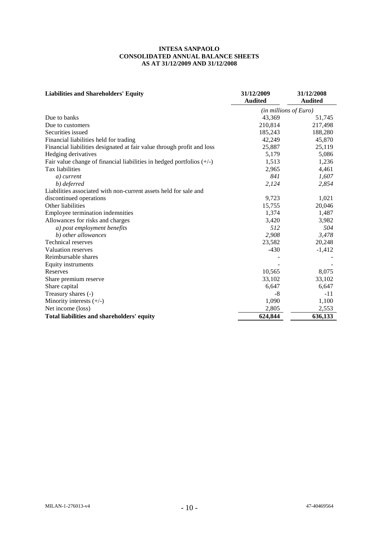| <b>Liabilities and Shareholders' Equity</b>                             | 31/12/2009              | 31/12/2008     |
|-------------------------------------------------------------------------|-------------------------|----------------|
|                                                                         | <b>Audited</b>          | <b>Audited</b> |
|                                                                         | $(in$ millions of Euro) |                |
| Due to banks                                                            | 43,369                  | 51,745         |
| Due to customers                                                        | 210,814                 | 217,498        |
| Securities issued                                                       | 185,243                 | 188,280        |
| Financial liabilities held for trading                                  | 42,249                  | 45,870         |
| Financial liabilities designated at fair value through profit and loss  | 25,887                  | 25,119         |
| Hedging derivatives                                                     | 5,179                   | 5,086          |
| Fair value change of financial liabilities in hedged portfolios $(+/-)$ | 1,513                   | 1,236          |
| Tax liabilities                                                         | 2,965                   | 4,461          |
| a) current                                                              | 841                     | 1,607          |
| b) deferred                                                             | 2,124                   | 2,854          |
| Liabilities associated with non-current assets held for sale and        |                         |                |
| discontinued operations                                                 | 9,723                   | 1,021          |
| Other liabilities                                                       | 15,755                  | 20,046         |
| Employee termination indemnities                                        | 1,374                   | 1,487          |
| Allowances for risks and charges                                        | 3,420                   | 3,982          |
| a) post employment benefits                                             | 512                     | 504            |
| b) other allowances                                                     | 2,908                   | 3,478          |
| <b>Technical reserves</b>                                               | 23,582                  | 20,248         |
| Valuation reserves                                                      | $-430$                  | $-1,412$       |
| Reimbursable shares                                                     |                         |                |
| Equity instruments                                                      |                         |                |
| Reserves                                                                | 10,565                  | 8,075          |
| Share premium reserve                                                   | 33,102                  | 33,102         |
| Share capital                                                           | 6,647                   | 6,647          |
| Treasury shares (-)                                                     | -8                      | -11            |
| Minority interests $(+/-)$                                              | 1,090                   | 1,100          |
| Net income (loss)                                                       | 2,805                   | 2,553          |
| Total liabilities and shareholders' equity                              | 624,844                 | 636,133        |